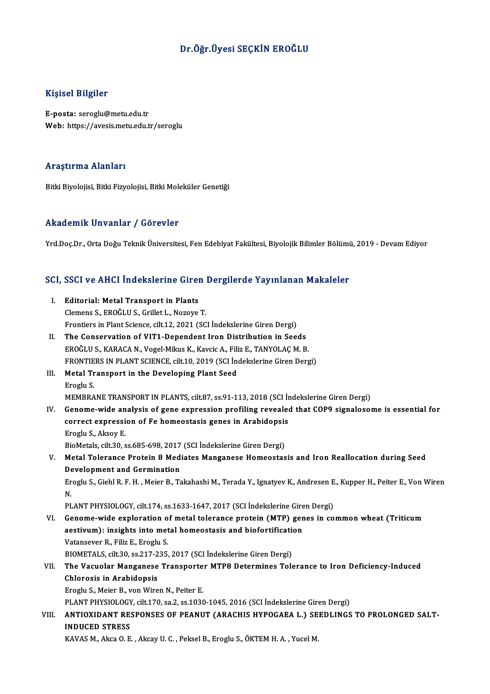# Dr.Öğr.Üyesi SEÇKİN EROĞLU

## Kişisel Bilgiler

E-posta: seroglu@metu.edu.tr Web: https://avesis.metu.edu.tr/seroglu

#### Araştırma Alanları

Bitki Biyolojisi, Bitki Fizyolojisi, Bitki Moleküler Genetiği

#### Akademik Unvanlar / Görevler

Yrd.Doç.Dr., Orta Doğu Teknik Üniversitesi, Fen Edebiyat Fakültesi, Biyolojik Bilimler Bölümü, 2019 - Devam Ediyor

# rra.boç.br., orta boğu Teknik öniversitesi, ren Edebiyat rakuitesi, Biyolojik Bilimler Bolumi<br>SCI, SSCI ve AHCI İndekslerine Giren Dergilerde Yayınlanan Makaleler

| SCI, SSCI ve AHCI İndekslerine Giren Dergilerde Yayınlanan Makaleler |                                                                                                                         |
|----------------------------------------------------------------------|-------------------------------------------------------------------------------------------------------------------------|
| L.                                                                   | <b>Editorial: Metal Transport in Plants</b>                                                                             |
|                                                                      | Clemens S., EROĞLU S., Grillet L., Nozoye T.                                                                            |
|                                                                      | Frontiers in Plant Science, cilt.12, 2021 (SCI Indekslerine Giren Dergi)                                                |
| Н.                                                                   | The Conservation of VIT1-Dependent Iron Distribution in Seeds                                                           |
|                                                                      | EROĞLU S., KARACA N., Vogel-Mikus K., Kavcic A., Filiz E., TANYOLAÇ M. B.                                               |
|                                                                      | FRONTIERS IN PLANT SCIENCE, cilt.10, 2019 (SCI İndekslerine Giren Dergi)                                                |
| III.                                                                 | Metal Transport in the Developing Plant Seed                                                                            |
|                                                                      | Eroglu S.                                                                                                               |
|                                                                      | MEMBRANE TRANSPORT IN PLANTS, cilt.87, ss.91-113, 2018 (SCI Indekslerine Giren Dergi)                                   |
| IV.                                                                  | Genome-wide analysis of gene expression profiling revealed that COP9 signalosome is essential for                       |
|                                                                      | correct expression of Fe homeostasis genes in Arabidopsis                                                               |
|                                                                      | Eroglu S., Aksoy E.                                                                                                     |
|                                                                      | BioMetals, cilt.30, ss.685-698, 2017 (SCI Indekslerine Giren Dergi)                                                     |
| V.                                                                   | Metal Tolerance Protein 8 Mediates Manganese Homeostasis and Iron Reallocation during Seed                              |
|                                                                      | Development and Germination                                                                                             |
|                                                                      | Eroglu S., Giehl R. F. H., Meier B., Takahashi M., Terada Y., Ignatyev K., Andresen E., Kupper H., Peiter E., Von Wiren |
|                                                                      | N.                                                                                                                      |
|                                                                      | PLANT PHYSIOLOGY, cilt.174, ss.1633-1647, 2017 (SCI İndekslerine Giren Dergi)                                           |
| VI.                                                                  | Genome-wide exploration of metal tolerance protein (MTP) genes in common wheat (Triticum                                |
|                                                                      | aestivum): insights into metal homeostasis and biofortification                                                         |
|                                                                      | Vatansever R., Filiz E., Eroglu S.                                                                                      |
|                                                                      | BIOMETALS, cilt.30, ss.217-235, 2017 (SCI İndekslerine Giren Dergi)                                                     |
| VII.                                                                 | The Vacuolar Manganese Transporter MTP8 Determines Tolerance to Iron Deficiency-Induced                                 |
|                                                                      | Chlorosis in Arabidopsis                                                                                                |
|                                                                      | Eroglu S., Meier B., von Wiren N., Peiter E.                                                                            |
|                                                                      | PLANT PHYSIOLOGY, cilt.170, sa.2, ss.1030-1045, 2016 (SCI İndekslerine Giren Dergi)                                     |
| VIII.                                                                | ANTIOXIDANT RESPONSES OF PEANUT (ARACHIS HYPOGAEA L.) SEEDLINGS TO PROLONGED SALT-                                      |
|                                                                      | <b>INDUCED STRESS</b>                                                                                                   |
|                                                                      | KAVAS M., Akca O. E., Akcay U. C., Peksel B., Eroglu S., ÖKTEM H. A., Yucel M.                                          |
|                                                                      |                                                                                                                         |